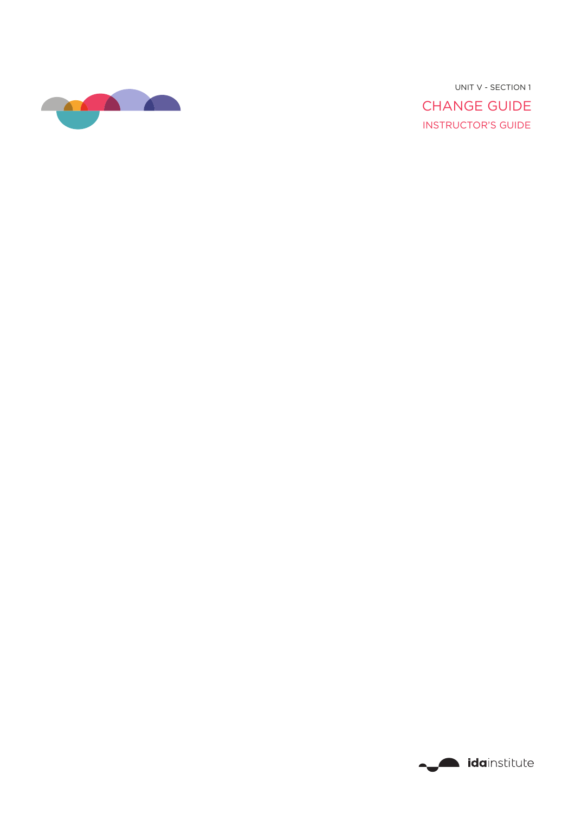

INSTRUCTOR'S GUIDE CHANGE GUIDE UNIT V - SECTION 1

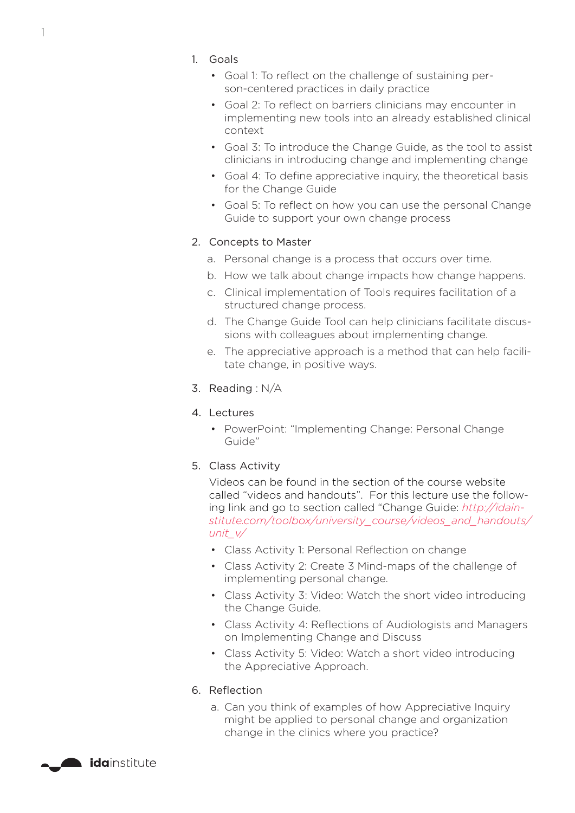- 1. Goals
	- Goal 1: To reflect on the challenge of sustaining person-centered practices in daily practice
	- Goal 2: To reflect on barriers clinicians may encounter in implementing new tools into an already established clinical context
	- Goal 3: To introduce the Change Guide, as the tool to assist clinicians in introducing change and implementing change
	- Goal 4: To define appreciative inquiry, the theoretical basis for the Change Guide
	- Goal 5: To reflect on how you can use the personal Change Guide to support your own change process

#### 2. Concepts to Master

- a. Personal change is a process that occurs over time.
- b. How we talk about change impacts how change happens.
- c. Clinical implementation of Tools requires facilitation of a structured change process.
- d. The Change Guide Tool can help clinicians facilitate discussions with colleagues about implementing change.
- e. The appreciative approach is a method that can help facilitate change, in positive ways.
- 3. Reading : N/A
- 4. Lectures
	- PowerPoint: "Implementing Change: Personal Change Guide"
- 5. Class Activity

Videos can be found in the section of the course website called "videos and handouts". For this lecture use the following link and go to section called "Change Guide: *[http://idain](http://idainstitute.com/toolbox/university_course/videos_and_handouts/unit_v/)[stitute.com/toolbox/university\\_course/videos\\_and\\_handouts/](http://idainstitute.com/toolbox/university_course/videos_and_handouts/unit_v/) [unit\\_v/](http://idainstitute.com/toolbox/university_course/videos_and_handouts/unit_v/)*

- Class Activity 1: Personal Reflection on change
- Class Activity 2: Create 3 Mind-maps of the challenge of implementing personal change.
- Class Activity 3: Video: Watch the short video introducing the Change Guide.
- Class Activity 4: Reflections of Audiologists and Managers on Implementing Change and Discuss
- Class Activity 5: Video: Watch a short video introducing the Appreciative Approach.

#### 6. Reflection

a. Can you think of examples of how Appreciative Inquiry might be applied to personal change and organization change in the clinics where you practice?



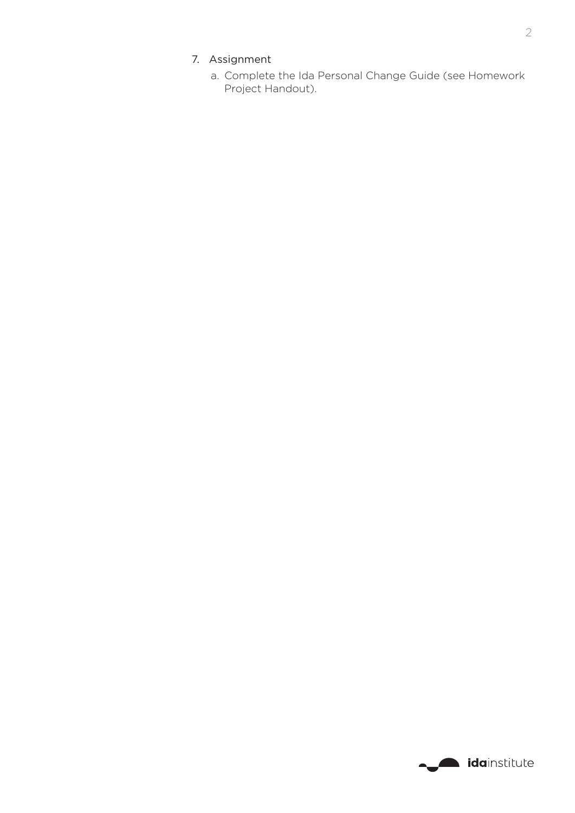# 7. Assignment

a. Complete the Ida Personal Change Guide (see Homework Project Handout).

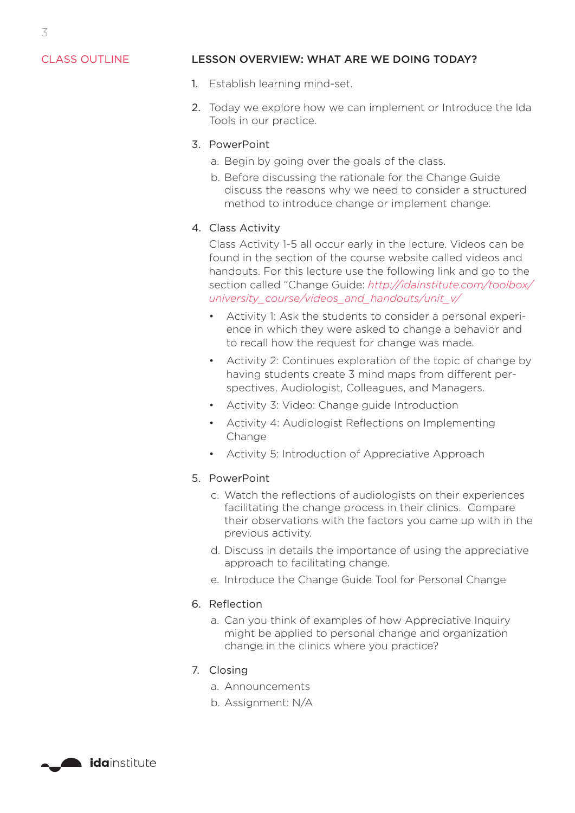## CLASS OUTLINE

### LESSON OVERVIEW: WHAT ARE WE DOING TODAY?

- 1. Establish learning mind-set.
- 2. Today we explore how we can implement or Introduce the Ida Tools in our practice.

#### 3. PowerPoint

- a. Begin by going over the goals of the class.
- b. Before discussing the rationale for the Change Guide discuss the reasons why we need to consider a structured method to introduce change or implement change.

### 4. Class Activity

Class Activity 1-5 all occur early in the lecture. Videos can be found in the section of the course website called videos and handouts. For this lecture use the following link and go to the section called "Change Guide: *[http://idainstitute.com/toolbox/](http://idainstitute.com/toolbox/university_course/videos_and_handouts/unit_v/) [university\\_course/videos\\_and\\_handouts/unit\\_v/](http://idainstitute.com/toolbox/university_course/videos_and_handouts/unit_v/)*

- Activity 1: Ask the students to consider a personal experience in which they were asked to change a behavior and to recall how the request for change was made.
- Activity 2: Continues exploration of the topic of change by having students create 3 mind maps from different perspectives, Audiologist, Colleagues, and Managers.
- Activity 3: Video: Change guide Introduction
- Activity 4: Audiologist Reflections on Implementing Change
- Activity 5: Introduction of Appreciative Approach

#### 5. PowerPoint

- c. Watch the reflections of audiologists on their experiences facilitating the change process in their clinics. Compare their observations with the factors you came up with in the previous activity.
- d. Discuss in details the importance of using the appreciative approach to facilitating change.
- e. Introduce the Change Guide Tool for Personal Change

#### 6. Reflection

a. Can you think of examples of how Appreciative Inquiry might be applied to personal change and organization change in the clinics where you practice?

#### 7. Closing

- a. Announcements
- b. Assignment: N/A



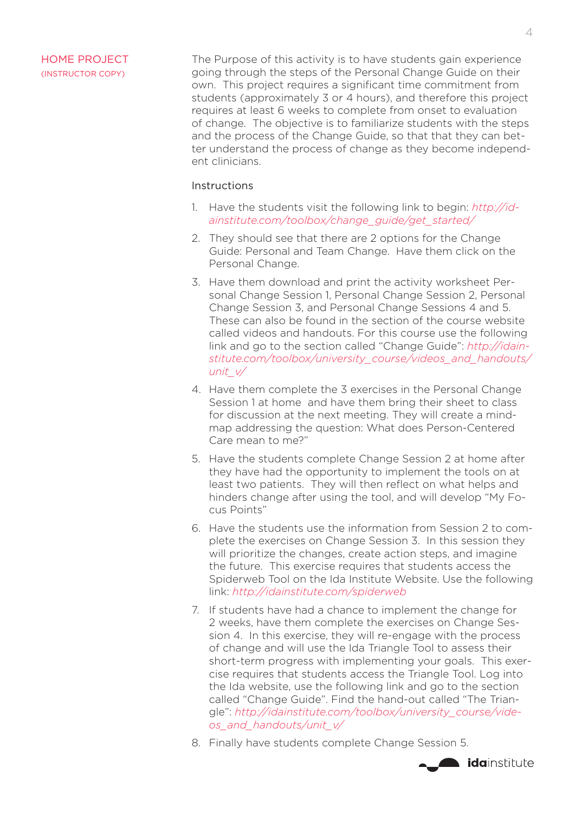## HOME PROJECT (INSTRUCTOR COPY)

The Purpose of this activity is to have students gain experience going through the steps of the Personal Change Guide on their own. This project requires a significant time commitment from students (approximately 3 or 4 hours), and therefore this project requires at least 6 weeks to complete from onset to evaluation of change. The objective is to familiarize students with the steps and the process of the Change Guide, so that that they can better understand the process of change as they become independent clinicians.

### Instructions

- 1. Have the students visit the following link to begin: *[http://id](http://idainstitute.com/toolbox/change_guide/get_started/)[ainstitute.com/toolbox/change\\_guide/get\\_started/](http://idainstitute.com/toolbox/change_guide/get_started/)*
- 2. They should see that there are 2 options for the Change Guide: Personal and Team Change. Have them click on the Personal Change.
- 3. Have them download and print the activity worksheet Personal Change Session 1, Personal Change Session 2, Personal Change Session 3, and Personal Change Sessions 4 and 5. These can also be found in the section of the course website called videos and handouts. For this course use the following link and go to the section called "Change Guide": *[http://idain](http://idainstitute.com/toolbox/university_course/videos_and_handouts/unit_v/)[stitute.com/toolbox/university\\_course/videos\\_and\\_handouts/](http://idainstitute.com/toolbox/university_course/videos_and_handouts/unit_v/) [unit\\_v/](http://idainstitute.com/toolbox/university_course/videos_and_handouts/unit_v/)*
- 4. Have them complete the 3 exercises in the Personal Change Session 1 at home and have them bring their sheet to class for discussion at the next meeting. They will create a mindmap addressing the question: What does Person-Centered Care mean to me?"
- 5. Have the students complete Change Session 2 at home after they have had the opportunity to implement the tools on at least two patients. They will then reflect on what helps and hinders change after using the tool, and will develop "My Focus Points"
- 6. Have the students use the information from Session 2 to complete the exercises on Change Session 3. In this session they will prioritize the changes, create action steps, and imagine the future. This exercise requires that students access the Spiderweb Tool on the Ida Institute Website. Use the following link: *<http://idainstitute.com/spiderweb>*
- 7. If students have had a chance to implement the change for 2 weeks, have them complete the exercises on Change Session 4. In this exercise, they will re-engage with the process of change and will use the Ida Triangle Tool to assess their short-term progress with implementing your goals. This exercise requires that students access the Triangle Tool. Log into the Ida website, use the following link and go to the section called "Change Guide". Find the hand-out called "The Triangle": *[http://idainstitute.com/toolbox/university\\_course/vide](http://idainstitute.com/toolbox/university_course/videos_and_handouts/unit_v/)[os\\_and\\_handouts/unit\\_v/](http://idainstitute.com/toolbox/university_course/videos_and_handouts/unit_v/)*
- 8. Finally have students complete Change Session 5.